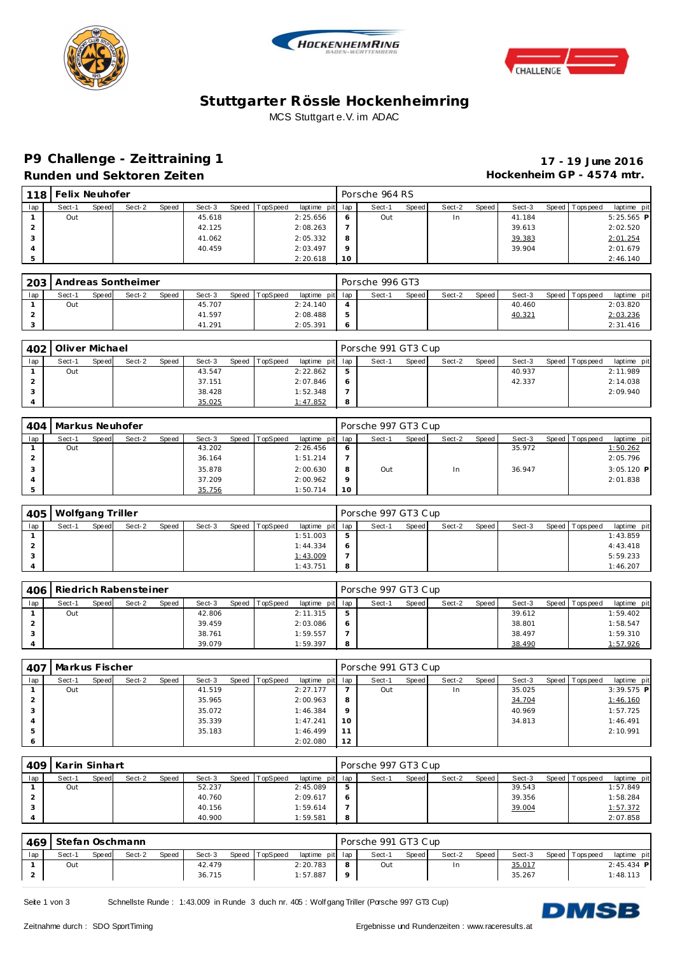





## **Stuttgarter Rössle Hockenheimring** MCS Stuttgart e.V. im ADAC

# **P9 Challenge - Ze ittraining 1 17 - 19 June 2016**

**Runden und Sektoren Zeiten Hockenheim GP - 4574 mtr.**

| 118   | Felix Neuhofer |       |        |       |        |       |          |                 |         | Porsche 964 RS |       |        |       |        |                 |              |
|-------|----------------|-------|--------|-------|--------|-------|----------|-----------------|---------|----------------|-------|--------|-------|--------|-----------------|--------------|
| lap ı | Sect-1         | Speed | Sect-2 | Speed | Sect-3 | Speed | TopSpeed | laptime pit lap |         | Sect-1         | Speed | Sect-2 | Speed | Sect-3 | Speed Tops peed | laptime pit  |
|       | Out            |       |        |       | 45.618 |       |          | 2:25.656        | 6       | Out            |       | In     |       | 41.184 |                 | $5:25.565$ P |
|       |                |       |        |       | 42.125 |       |          | 2:08.263        |         |                |       |        |       | 39.613 |                 | 2:02.520     |
|       |                |       |        |       | 41.062 |       |          | 2:05.332        | 8       |                |       |        |       | 39.383 |                 | 2:01.254     |
|       |                |       |        |       | 40.459 |       |          | 2:03.497        | $\circ$ |                |       |        |       | 39.904 |                 | 2:01.679     |
|       |                |       |        |       |        |       |          | 2:20.618        | 10      |                |       |        |       |        |                 | 2:46.140     |

| 203 |        |       | Andreas Sontheimer |       |        |       |          |                 | Porsche 996 GT3 |              |        |       |        |                 |             |
|-----|--------|-------|--------------------|-------|--------|-------|----------|-----------------|-----------------|--------------|--------|-------|--------|-----------------|-------------|
| lap | Sect-1 | Speed | Sect-2             | Speed | Sect-3 | Speed | TopSpeed | laptime pit lap | Sect-1          | <b>Speed</b> | Sect-2 | Speed | Sect-3 | Speed Tops peed | laptime pit |
|     | Out    |       |                    |       | 45.707 |       |          | 2:24.140        |                 |              |        |       | 40.460 |                 | 2:03.820    |
|     |        |       |                    |       | 41.597 |       |          | 2:08.488        |                 |              |        |       | 40.321 |                 | 2:03.236    |
|     |        |       |                    |       | 41.291 |       |          | 2:05.391        |                 |              |        |       |        |                 | 2:31.416    |

|     | 402 Oliver Michael |              |        |       |        |       |          |                 |    | Porsche 991 GT3 Cup |       |        |       |        |                 |             |
|-----|--------------------|--------------|--------|-------|--------|-------|----------|-----------------|----|---------------------|-------|--------|-------|--------|-----------------|-------------|
| lap | Sect-1             | <b>Speed</b> | Sect-2 | Speed | Sect-3 | Speed | TopSpeed | laptime pit lap |    | Sect-1              | Speed | Sect-2 | Speed | Sect-3 | Speed Tops peed | laptime pit |
|     | Out                |              |        |       | 43.547 |       |          | 2:22.862        |    |                     |       |        |       | 40.937 |                 | 2:11.989    |
|     |                    |              |        |       | 37.151 |       |          | 2:07.846        | -6 |                     |       |        |       | 42.337 |                 | 2:14.038    |
|     |                    |              |        |       | 38.428 |       |          | 1:52.348        |    |                     |       |        |       |        |                 | 2:09.940    |
|     |                    |              |        |       | 35.025 |       |          | 1:47.852        | 8  |                     |       |        |       |        |                 |             |

| 404 | Markus Neuhofer |       |        |       |        |       |          |                 |         | Porsche 997 GT3 Cup |       |        |       |        |                 |              |
|-----|-----------------|-------|--------|-------|--------|-------|----------|-----------------|---------|---------------------|-------|--------|-------|--------|-----------------|--------------|
| lap | Sect-1          | Speed | Sect-2 | Speed | Sect-3 | Speed | TopSpeed | laptime pit lap |         | Sect-1              | Speed | Sect-2 | Speed | Sect-3 | Speed Tops peed | laptime pit  |
|     | Out             |       |        |       | 43.202 |       |          | 2:26.456        | $\circ$ |                     |       |        |       | 35.972 |                 | 1:50.262     |
|     |                 |       |        |       | 36.164 |       |          | 1:51.214        |         |                     |       |        |       |        |                 | 2:05.796     |
|     |                 |       |        |       | 35.878 |       |          | 2:00.630        | 8       | Out                 |       | In.    |       | 36.947 |                 | $3:05.120$ P |
|     |                 |       |        |       | 37.209 |       |          | 2:00.962        | $\circ$ |                     |       |        |       |        |                 | 2:01.838     |
|     |                 |       |        |       | 35.756 |       |          | 1:50.714        | 10      |                     |       |        |       |        |                 |              |

| 405 | Wolfgang Triller |       |        |       |        |       |          |                 |   | Porsche 997 GT3 Cup |       |        |       |        |                 |             |
|-----|------------------|-------|--------|-------|--------|-------|----------|-----------------|---|---------------------|-------|--------|-------|--------|-----------------|-------------|
| lap | Sect-1           | Speed | Sect-2 | Speed | Sect-3 | Speed | TopSpeed | laptime pit lap |   | Sect-1              | Speed | Sect-2 | Speed | Sect-3 | Speed Tops peed | laptime pit |
|     |                  |       |        |       |        |       |          | 1:51.003        | 5 |                     |       |        |       |        |                 | 1:43.859    |
|     |                  |       |        |       |        |       |          | 1:44.334        |   |                     |       |        |       |        |                 | 4:43.418    |
|     |                  |       |        |       |        |       |          | 1:43.009        |   |                     |       |        |       |        |                 | 5:59.233    |
|     |                  |       |        |       |        |       |          | 1:43.751        |   |                     |       |        |       |        |                 | 1:46.207    |

| 406 |        |       | Riedrich Rabensteiner |       |        |       |          |                 |            | Porsche 997 GT3 Cup |              |        |       |        |                |             |
|-----|--------|-------|-----------------------|-------|--------|-------|----------|-----------------|------------|---------------------|--------------|--------|-------|--------|----------------|-------------|
| lap | Sect-1 | Speed | Sect-2                | Speed | Sect-3 | Speed | TopSpeed | laptime pit lap |            | Sect-1              | <b>Speed</b> | Sect-2 | Speed | Sect-3 | Speed Topspeed | laptime pit |
|     | Out    |       |                       |       | 42.806 |       |          | 2:11.315        | 5          |                     |              |        |       | 39.612 |                | 1:59.402    |
|     |        |       |                       |       | 39.459 |       |          | 2:03.086        | $\epsilon$ |                     |              |        |       | 38.801 |                | 1:58.547    |
|     |        |       |                       |       | 38.761 |       |          | 1:59.557        |            |                     |              |        |       | 38.497 |                | 1:59.310    |
|     |        |       |                       |       | 39.079 |       |          | 1:59.397        | 8          |                     |              |        |       | 38.490 |                | 1:57.926    |

| 407 | Markus Fischer |       |        |       |        |                |                 |         | Porsche 991 GT3 Cup |       |        |       |        |                |              |
|-----|----------------|-------|--------|-------|--------|----------------|-----------------|---------|---------------------|-------|--------|-------|--------|----------------|--------------|
| lap | Sect-1         | Speed | Sect-2 | Speed | Sect-3 | Speed TopSpeed | laptime pit lap |         | Sect-1              | Speed | Sect-2 | Speed | Sect-3 | Speed Topspeed | laptime pit  |
|     | Out            |       |        |       | 41.519 |                | 2:27.177        |         | Out                 |       | In     |       | 35.025 |                | $3:39.575$ P |
|     |                |       |        |       | 35.965 |                | 2:00.963        | 8       |                     |       |        |       | 34.704 |                | 1:46.160     |
|     |                |       |        |       | 35.072 |                | 1:46.384        | $\circ$ |                     |       |        |       | 40.969 |                | 1:57.725     |
| 4   |                |       |        |       | 35.339 |                | 1:47.241        | 10      |                     |       |        |       | 34.813 |                | 1:46.491     |
| 5   |                |       |        |       | 35.183 |                | 1:46.499        | 11      |                     |       |        |       |        |                | 2:10.991     |
|     |                |       |        |       |        |                | 2:02.080        | 12      |                     |       |        |       |        |                |              |

| 409 | Karin Sinhart |       |        |       |        |       |          |                 |   | Porsche 997 GT3 Cup |       |        |       |        |                 |             |
|-----|---------------|-------|--------|-------|--------|-------|----------|-----------------|---|---------------------|-------|--------|-------|--------|-----------------|-------------|
| lap | Sect-1        | Speed | Sect-2 | Speed | Sect-3 | Speed | TopSpeed | laptime pit lap |   | Sect-1              | Speed | Sect-2 | Speed | Sect-3 | Speed Tops peed | laptime pit |
|     | Out           |       |        |       | 52.237 |       |          | 2:45.089        | 5 |                     |       |        |       | 39.543 |                 | 1:57.849    |
|     |               |       |        |       | 40.760 |       |          | 2:09.617        |   |                     |       |        |       | 39.356 |                 | 1:58.284    |
|     |               |       |        |       | 40.156 |       |          | 1:59.614        |   |                     |       |        |       | 39.004 |                 | 1:57.372    |
|     |               |       |        |       | 40.900 |       |          | 1:59.581        | 8 |                     |       |        |       |        |                 | 2:07.858    |

| 469 | Stefan Oschmann |       |        |       |        |       |          |                 | Porsche 991 GT3 Cup |              |        |       |        |                |              |
|-----|-----------------|-------|--------|-------|--------|-------|----------|-----------------|---------------------|--------------|--------|-------|--------|----------------|--------------|
| lap | Sect-1          | Speed | Sect-2 | Speed | Sect-3 | Speed | TopSpeed | laptime pit lap | Sect-1              | <b>Speed</b> | Sect-2 | Speed | Sect-3 | Speed Topspeed | laptime pit  |
|     | Out             |       |        |       | 42.479 |       |          | 2:20.783        | Out                 |              |        |       | 35.017 |                | $2:45.434$ P |
|     |                 |       |        |       | 36.715 |       |          | 1:57.887        |                     |              |        |       | 35.267 |                | 1:48.113     |

Seite 1 von 3 Schnellste Runde : 1:43.009 in Runde 3 duch nr. 405 : Wolf gang Triller (Porsche 997 GT3 Cup)

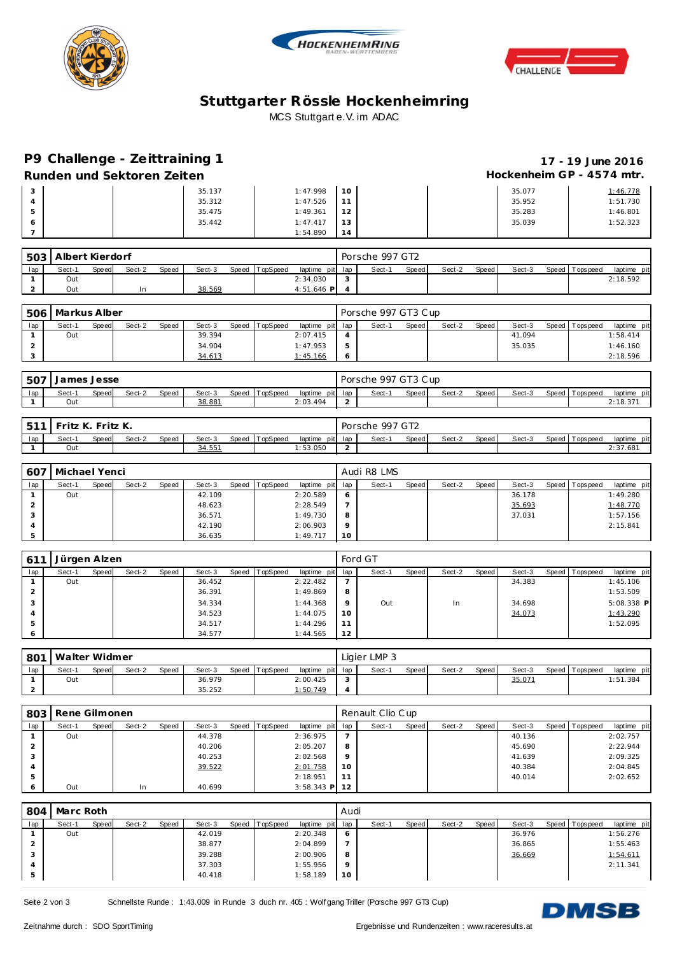





## **Stuttgarter Rössle Hockenheimring** MCS Stuttgart e.V. im ADAC

## **P9 Challenge - Ze ittraining 1 17 - 19 June 2016**

Runden und Sektoren Zeiten **Munden und Sektoren Zeiten Hockenheim GP** - 4574 mtr.

| 3       | 35.137 | 1:47.998 | 10 | 35.077 | 1:46.778 |
|---------|--------|----------|----|--------|----------|
| 4       | 35.312 | 1:47.526 | 11 | 35.952 | 1:51.730 |
| 5       | 35.475 | 1:49.361 | 12 | 35.283 | 1:46.801 |
| $\circ$ | 35.442 | 1:47.417 | 13 | 35.039 | 1:52.323 |
|         |        | 1:54.890 | 14 |        |          |

|     | 503 Albert Kierdorf |              |        |              |        |       |          |                 | Porsche 997 GT2 |       |        |       |        |                   |             |
|-----|---------------------|--------------|--------|--------------|--------|-------|----------|-----------------|-----------------|-------|--------|-------|--------|-------------------|-------------|
| lap | Sect-1              | <b>Speed</b> | Sect-2 | <b>Speed</b> | Sect-3 | Speed | TopSpeed | laptime pit lap | Sect-1          | Speed | Sect-2 | Speed | Sect-3 | Speed   Tops peed | laptime pit |
|     | Out                 |              |        |              |        |       |          | 2:34.030        |                 |       |        |       |        |                   | 2:18.592    |
|     | Out                 |              |        |              | 38.569 |       |          | $4:51.646$ P    |                 |       |        |       |        |                   |             |

|     | 506   Markus Alber |              |        |       |        |       |          |                 |            | Porsche 997 GT3 Cup |       |        |       |        |                 |             |
|-----|--------------------|--------------|--------|-------|--------|-------|----------|-----------------|------------|---------------------|-------|--------|-------|--------|-----------------|-------------|
| lap | Sect-1             | <b>Speed</b> | Sect-2 | Speed | Sect-3 | Speed | TopSpeed | laptime pit lap |            | Sect-1              | Speed | Sect-2 | Speed | Sect-3 | Speed Tops peed | laptime pit |
|     | Out                |              |        |       | 39.394 |       |          | 2:07.415        |            |                     |       |        |       | 41.094 |                 | 1:58.414    |
|     |                    |              |        |       | 34.904 |       |          | 1:47.953        | 5          |                     |       |        |       | 35.035 |                 | 1:46.160    |
|     |                    |              |        |       | 34.613 |       |          | 1:45.166        | $\epsilon$ |                     |       |        |       |        |                 | 2:18.596    |

| .507 | James Jesse<br>Jd |       |        |       |        |       |          |          | Porsche 997 GT3 Cup |        |       |        |       |        |       |            |             |  |
|------|-------------------|-------|--------|-------|--------|-------|----------|----------|---------------------|--------|-------|--------|-------|--------|-------|------------|-------------|--|
| lap  | Sect-1            | Speed | Sect-2 | Speed | Sect-3 | Speed | ™opSpeed | laptime  | pit lap             | Sect-1 | Speed | Sect-2 | Speed | Sect-3 | Speed | Fops pee d | laptime pit |  |
|      | Out               |       |        |       | 38.881 |       |          | 2:03.494 |                     |        |       |        |       |        |       |            | 2:18.371    |  |

|     | $-511$<br>Fritz K. Fritz K. |       |        |              |        |  | Porsche 997 GT2 |                 |  |        |       |        |         |        |  |                |             |
|-----|-----------------------------|-------|--------|--------------|--------|--|-----------------|-----------------|--|--------|-------|--------|---------|--------|--|----------------|-------------|
| lap | Sect-1                      | Speed | Sect-2 | <b>Speed</b> | Sect-3 |  | Speed TopSpeed  | laptime pit lap |  | Sect-1 | Speed | Sect-2 | Speed I | Sect-3 |  | Speed Topspeed | laptime pit |
|     | Out                         |       |        |              | 34.551 |  |                 | : 53.050        |  |        |       |        |         |        |  |                | 2:37.681    |

| 607 |        | Michael Yenci |        |       |        |  |                |                 |          | Audi R8 LMS |       |        |       |        |  |                 |             |  |  |  |
|-----|--------|---------------|--------|-------|--------|--|----------------|-----------------|----------|-------------|-------|--------|-------|--------|--|-----------------|-------------|--|--|--|
| lap | Sect-1 | Speed         | Sect-2 | Speed | Sect-3 |  | Speed TopSpeed | laptime pit lap |          | Sect-1      | Speed | Sect-2 | Speed | Sect-3 |  | Speed Tops peed | laptime pit |  |  |  |
|     | Out    |               |        |       | 42.109 |  |                | 2:20.589        | O        |             |       |        |       | 36.178 |  |                 | 1:49.280    |  |  |  |
| ∠   |        |               |        |       | 48.623 |  |                | 2:28.549        |          |             |       |        |       | 35.693 |  |                 | 1:48.770    |  |  |  |
| 3   |        |               |        |       | 36.571 |  |                | 1:49.730        | 8        |             |       |        |       | 37.031 |  |                 | 1:57.156    |  |  |  |
| 4   |        |               |        |       | 42.190 |  |                | 2:06.903        | $\Omega$ |             |       |        |       |        |  |                 | 2:15.841    |  |  |  |
|     |        |               |        |       | 36.635 |  |                | 1:49.717        | 10       |             |       |        |       |        |  |                 |             |  |  |  |

| 611     | Jürgen Alzen |       |        |       |        |  |                |                 | Ford GT |        |       |        |       |        |  |                 |              |  |  |
|---------|--------------|-------|--------|-------|--------|--|----------------|-----------------|---------|--------|-------|--------|-------|--------|--|-----------------|--------------|--|--|
| lap     | Sect-1       | Speed | Sect-2 | Speed | Sect-3 |  | Speed TopSpeed | laptime pit lap |         | Sect-1 | Speed | Sect-2 | Speed | Sect-3 |  | Speed Tops peed | laptime pit  |  |  |
|         | Out          |       |        |       | 36.452 |  |                | 2:22.482        |         |        |       |        |       | 34.383 |  |                 | 1:45.106     |  |  |
|         |              |       |        |       | 36.391 |  |                | 1:49.869        | 8       |        |       |        |       |        |  |                 | 1:53.509     |  |  |
| 3       |              |       |        |       | 34.334 |  |                | 1:44.368        | $\circ$ | Out    |       | In     |       | 34.698 |  |                 | $5:08.338$ P |  |  |
|         |              |       |        |       | 34.523 |  |                | 1:44.075        | 10      |        |       |        |       | 34.073 |  |                 | 1:43.290     |  |  |
| 5       |              |       |        |       | 34.517 |  |                | 1:44.296        | 11      |        |       |        |       |        |  |                 | 1:52.095     |  |  |
| $\circ$ |              |       |        |       | 34.577 |  |                | 1:44.565        | 12      |        |       |        |       |        |  |                 |              |  |  |

| 801 | Walter Widmer<br>Speed TopSpeed |       |        |              |        |  |  |                 |  | Ligier LMP 3 |       |        |       |        |  |                |             |  |  |  |
|-----|---------------------------------|-------|--------|--------------|--------|--|--|-----------------|--|--------------|-------|--------|-------|--------|--|----------------|-------------|--|--|--|
| lap | Sect-1                          | Speed | Sect-2 | <b>Speed</b> | Sect-3 |  |  | laptime pit lap |  | Sect-1       | Speed | Sect-2 | Speed | Sect-3 |  | Speed Topspeed | laptime pit |  |  |  |
|     | Out                             |       |        |              | 36.979 |  |  | 2:00.425        |  |              |       |        |       | 35.071 |  |                | 1:51.384    |  |  |  |
| ∠   |                                 |       |        |              | 35.252 |  |  | 1:50.749        |  |              |       |        |       |        |  |                |             |  |  |  |

|     | 803   Rene Gilmonen |       |        |       |        |         |          |                 |             | Renault Clio Cup |       |        |       |        |  |                 |             |  |  |  |
|-----|---------------------|-------|--------|-------|--------|---------|----------|-----------------|-------------|------------------|-------|--------|-------|--------|--|-----------------|-------------|--|--|--|
| lap | Sect-1              | Speed | Sect-2 | Speed | Sect-3 | Speed ' | TopSpeed | laptime pit lap |             | Sect-1           | Speed | Sect-2 | Speed | Sect-3 |  | Speed Tops peed | laptime pit |  |  |  |
|     | Out                 |       |        |       | 44.378 |         |          | 2:36.975        |             |                  |       |        |       | 40.136 |  |                 | 2:02.757    |  |  |  |
|     |                     |       |        |       | 40.206 |         |          | 2:05.207        | 8           |                  |       |        |       | 45.690 |  |                 | 2:22.944    |  |  |  |
|     |                     |       |        |       | 40.253 |         |          | 2:02.568        | $\mathsf Q$ |                  |       |        |       | 41.639 |  |                 | 2:09.325    |  |  |  |
|     |                     |       |        |       | 39.522 |         |          | 2:01.758        | 10          |                  |       |        |       | 40.384 |  |                 | 2:04.845    |  |  |  |
|     |                     |       |        |       |        |         |          | 2:18.951        | 11          |                  |       |        |       | 40.014 |  |                 | 2:02.652    |  |  |  |
|     | Out                 |       | In     |       | 40.699 |         |          | $3:58.343$ P    | 12          |                  |       |        |       |        |  |                 |             |  |  |  |

| 804 | Marc Roth |       |        |       |        |       |          |                 | Audi    |        |       |        |       |        |                |             |
|-----|-----------|-------|--------|-------|--------|-------|----------|-----------------|---------|--------|-------|--------|-------|--------|----------------|-------------|
| lap | Sect-1    | Speed | Sect-2 | Speed | Sect-3 | Speed | TopSpeed | laptime pit lap |         | Sect-1 | Speed | Sect-2 | Speed | Sect-3 | Speed Topspeed | laptime pit |
|     | Out       |       |        |       | 42.019 |       |          | 2:20.348        | -6      |        |       |        |       | 36.976 |                | 1:56.276    |
|     |           |       |        |       | 38.877 |       |          | 2:04.899        |         |        |       |        |       | 36.865 |                | 1:55.463    |
|     |           |       |        |       | 39.288 |       |          | 2:00.906        | -8      |        |       |        |       | 36.669 |                | 1:54.611    |
|     |           |       |        |       | 37.303 |       |          | 1:55.956        | $\circ$ |        |       |        |       |        |                | 2:11.341    |
|     |           |       |        |       | 40.418 |       |          | 1:58.189        | 10      |        |       |        |       |        |                |             |

Seite 2 von 3 Schnellste Runde : 1:43.009 in Runde 3 duch nr. 405 : Wolf gang Triller (Porsche 997 GT3 Cup)